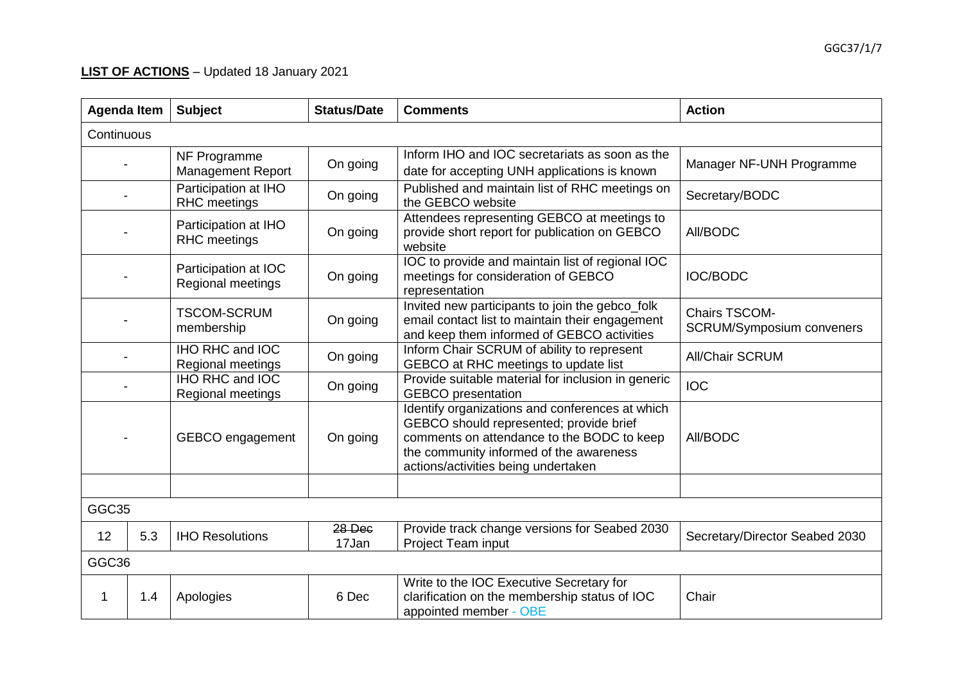## **LIST OF ACTIONS** – Updated 18 January 2021

| <b>Agenda Item</b> |            | <b>Subject</b>                              | <b>Status/Date</b> | <b>Comments</b>                                                                                                                                                                                                            | <b>Action</b>                                     |  |
|--------------------|------------|---------------------------------------------|--------------------|----------------------------------------------------------------------------------------------------------------------------------------------------------------------------------------------------------------------------|---------------------------------------------------|--|
|                    | Continuous |                                             |                    |                                                                                                                                                                                                                            |                                                   |  |
|                    |            | NF Programme<br>Management Report           | On going           | Inform IHO and IOC secretariats as soon as the<br>date for accepting UNH applications is known                                                                                                                             | Manager NF-UNH Programme                          |  |
|                    |            | Participation at IHO<br><b>RHC</b> meetings | On going           | Published and maintain list of RHC meetings on<br>the GEBCO website                                                                                                                                                        | Secretary/BODC                                    |  |
|                    |            | Participation at IHO<br><b>RHC</b> meetings | On going           | Attendees representing GEBCO at meetings to<br>provide short report for publication on GEBCO<br>website                                                                                                                    | All/BODC                                          |  |
|                    |            | Participation at IOC<br>Regional meetings   | On going           | IOC to provide and maintain list of regional IOC<br>meetings for consideration of GEBCO<br>representation                                                                                                                  | <b>IOC/BODC</b>                                   |  |
|                    |            | <b>TSCOM-SCRUM</b><br>membership            | On going           | Invited new participants to join the gebco_folk<br>email contact list to maintain their engagement<br>and keep them informed of GEBCO activities                                                                           | Chairs TSCOM-<br><b>SCRUM/Symposium conveners</b> |  |
|                    |            | IHO RHC and IOC<br>Regional meetings        | On going           | Inform Chair SCRUM of ability to represent<br>GEBCO at RHC meetings to update list                                                                                                                                         | <b>All/Chair SCRUM</b>                            |  |
|                    |            | IHO RHC and IOC<br>Regional meetings        | On going           | Provide suitable material for inclusion in generic<br><b>GEBCO</b> presentation                                                                                                                                            | <b>IOC</b>                                        |  |
|                    |            | GEBCO engagement                            | On going           | Identify organizations and conferences at which<br>GEBCO should represented; provide brief<br>comments on attendance to the BODC to keep<br>the community informed of the awareness<br>actions/activities being undertaken | All/BODC                                          |  |
|                    |            |                                             |                    |                                                                                                                                                                                                                            |                                                   |  |
| GGC35              |            |                                             |                    |                                                                                                                                                                                                                            |                                                   |  |
| 12                 | 5.3        | <b>IHO Resolutions</b>                      | 28 Dec<br>17Jan    | Provide track change versions for Seabed 2030<br>Project Team input                                                                                                                                                        | Secretary/Director Seabed 2030                    |  |
|                    | GGC36      |                                             |                    |                                                                                                                                                                                                                            |                                                   |  |
| 1                  | 1.4        | Apologies                                   | 6 Dec              | Write to the IOC Executive Secretary for<br>clarification on the membership status of IOC<br>appointed member - OBE                                                                                                        | Chair                                             |  |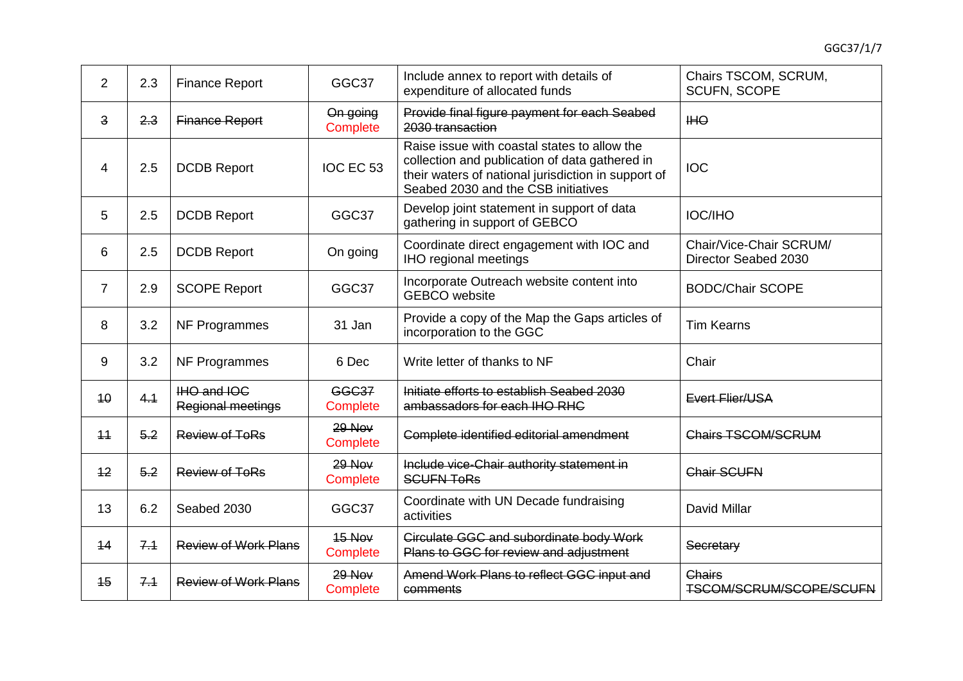| 2              | 2.3 | <b>Finance Report</b>                   | GGC37                                                                                                  | Include annex to report with details of<br>expenditure of allocated funds                                                                                                                    | Chairs TSCOM, SCRUM,<br><b>SCUFN, SCOPE</b>     |  |
|----------------|-----|-----------------------------------------|--------------------------------------------------------------------------------------------------------|----------------------------------------------------------------------------------------------------------------------------------------------------------------------------------------------|-------------------------------------------------|--|
| 3              | 2.3 | <b>Finance Report</b>                   | On going<br>Complete                                                                                   | Provide final figure payment for each Seabed<br>2030 transaction                                                                                                                             | <b>IHO</b>                                      |  |
| 4              | 2.5 | <b>DCDB Report</b>                      | IOC EC 53                                                                                              | Raise issue with coastal states to allow the<br>collection and publication of data gathered in<br>their waters of national jurisdiction in support of<br>Seabed 2030 and the CSB initiatives | <b>IOC</b>                                      |  |
| 5              | 2.5 | <b>DCDB Report</b>                      | Develop joint statement in support of data<br>GGC37<br><b>IOC/IHO</b><br>gathering in support of GEBCO |                                                                                                                                                                                              |                                                 |  |
| 6              | 2.5 | <b>DCDB Report</b>                      | On going                                                                                               | Coordinate direct engagement with IOC and<br><b>IHO regional meetings</b>                                                                                                                    | Chair/Vice-Chair SCRUM/<br>Director Seabed 2030 |  |
| $\overline{7}$ | 2.9 | <b>SCOPE Report</b>                     | GGC37                                                                                                  | Incorporate Outreach website content into<br><b>GEBCO</b> website                                                                                                                            | <b>BODC/Chair SCOPE</b>                         |  |
| 8              | 3.2 | NF Programmes                           | 31 Jan                                                                                                 | Provide a copy of the Map the Gaps articles of<br>incorporation to the GGC                                                                                                                   | <b>Tim Kearns</b>                               |  |
| 9              | 3.2 | NF Programmes                           | 6 Dec                                                                                                  | Write letter of thanks to NF                                                                                                                                                                 | Chair                                           |  |
| 10             | 4.1 | IHO and IOC<br><b>Regional meetings</b> | <b>GGC37</b><br><b>Complete</b>                                                                        | Initiate efforts to establish Seabed 2030<br>ambassadors for each IHO RHC                                                                                                                    | Evert Flier/USA                                 |  |
| 11             | 5.2 | <b>Review of ToRs</b>                   | 29 Nov<br>Complete                                                                                     | Complete identified editorial amendment                                                                                                                                                      | <b>Chairs TSCOM/SCRUM</b>                       |  |
| 12             | 5.2 | <b>Review of ToRs</b>                   | $29$ Nov<br>Complete                                                                                   | Include vice-Chair authority statement in<br><b>SCUFN TORS</b>                                                                                                                               | <b>Chair SCUFN</b>                              |  |
| 13             | 6.2 | Seabed 2030                             | GGC37                                                                                                  | Coordinate with UN Decade fundraising<br>activities                                                                                                                                          | David Millar                                    |  |
| 14             | 7.1 | <b>Review of Work Plans</b>             | $15$ Nov<br>Complete                                                                                   | <b>Circulate GGC and subordinate body Work</b><br>Plans to GGC for review and adjustment                                                                                                     | Secretary                                       |  |
| 15             | 7.1 | <b>Review of Work Plans</b>             | $29$ Nov<br><b>Complete</b>                                                                            | Amend Work Plans to reflect GGC input and<br>comments                                                                                                                                        | <b>Chairs</b><br>TSCOM/SCRUM/SCOPE/SCUFN        |  |
|                |     |                                         |                                                                                                        |                                                                                                                                                                                              |                                                 |  |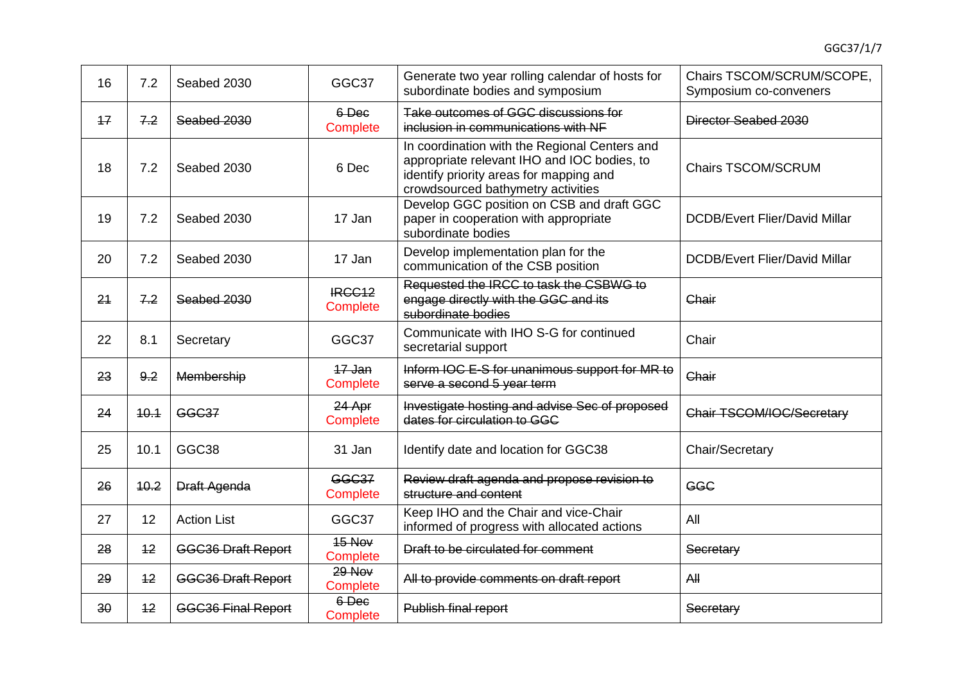| 16 | 7.2  | Seabed 2030               | GGC37                                                                                                              | Generate two year rolling calendar of hosts for<br>Chairs TSCOM/SCRUM/SCOPE,<br>subordinate bodies and symposium<br>Symposium co-conveners                                    |                                      |
|----|------|---------------------------|--------------------------------------------------------------------------------------------------------------------|-------------------------------------------------------------------------------------------------------------------------------------------------------------------------------|--------------------------------------|
| 17 | 7.2  | Seabed 2030               | 6-Dec<br>Complete                                                                                                  | Take outcomes of GGC discussions for<br>inclusion in communications with NF                                                                                                   | Director Seabed 2030                 |
| 18 | 7.2  | Seabed 2030               | 6 Dec                                                                                                              | In coordination with the Regional Centers and<br>appropriate relevant IHO and IOC bodies, to<br>identify priority areas for mapping and<br>crowdsourced bathymetry activities | <b>Chairs TSCOM/SCRUM</b>            |
| 19 | 7.2  | Seabed 2030               | Develop GGC position on CSB and draft GGC<br>paper in cooperation with appropriate<br>17 Jan<br>subordinate bodies |                                                                                                                                                                               | <b>DCDB/Evert Flier/David Millar</b> |
| 20 | 7.2  | Seabed 2030               | 17 Jan                                                                                                             | Develop implementation plan for the<br>communication of the CSB position                                                                                                      | <b>DCDB/Evert Flier/David Millar</b> |
| 24 | 7.2  | Seabed 2030               | IRCC <sub>12</sub><br>Complete                                                                                     | Requested the IRCC to task the CSBWG to<br>engage directly with the GGC and its<br>subordinate bodies                                                                         | Chair                                |
| 22 | 8.1  | Secretary                 | GGC37                                                                                                              | Communicate with IHO S-G for continued<br>secretarial support                                                                                                                 | Chair                                |
| 23 | 9.2  | Membership                | 17 Jan<br><b>Complete</b>                                                                                          | Inform IOC E-S for unanimous support for MR to<br>serve a second 5 year term                                                                                                  | Chair                                |
| 24 | 40.4 | <b>GGC37</b>              | 24 Apr<br>Complete                                                                                                 | Investigate hosting and advise Sec of proposed<br>dates for circulation to GGC                                                                                                | Chair TSCOM/IOC/Secretary            |
| 25 | 10.1 | GGC <sub>38</sub>         | 31 Jan                                                                                                             | Identify date and location for GGC38                                                                                                                                          | Chair/Secretary                      |
| 26 | 40.2 | <b>Draft Agenda</b>       | <b>GGC37</b><br><b>Complete</b>                                                                                    | Review draft agenda and propose revision to<br>structure and content                                                                                                          | <b>GGC</b>                           |
| 27 | 12   | <b>Action List</b>        | GGC37                                                                                                              | Keep IHO and the Chair and vice-Chair<br>informed of progress with allocated actions                                                                                          | All                                  |
| 28 | 12   | <b>GGC36 Draft Report</b> | 15 Nov<br><b>Complete</b>                                                                                          | Draft to be circulated for comment                                                                                                                                            | Secretary                            |
| 29 | 12   | <b>GGC36 Draft Report</b> | 29 Nov<br>Complete                                                                                                 | All to provide comments on draft report                                                                                                                                       | AH                                   |
| 30 | 12   | <b>GGC36 Final Report</b> | 6-Dec<br><b>Complete</b>                                                                                           | Publish final report                                                                                                                                                          | Secretary                            |